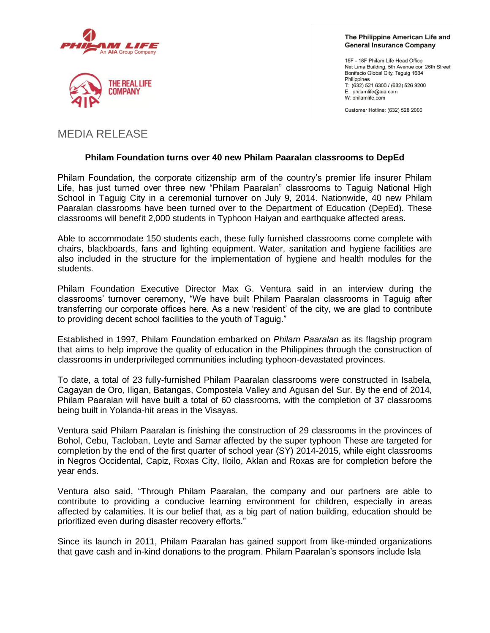



The Philippine American Life and **General Insurance Company** 

15F - 18F Philam Life Head Office Net Lima Building, 5th Avenue cor. 26th Street Bonifacio Global City, Taguig 1634 Philippines T: (632) 521 6300 / (632) 526 9200 E: philamlife@aia.com W: philamlife.com

Customer Hotline: (632) 528 2000

# MEDIA RELEASE

## **Philam Foundation turns over 40 new Philam Paaralan classrooms to DepEd**

Philam Foundation, the corporate citizenship arm of the country"s premier life insurer Philam Life, has just turned over three new "Philam Paaralan" classrooms to Taguig National High School in Taguig City in a ceremonial turnover on July 9, 2014. Nationwide, 40 new Philam Paaralan classrooms have been turned over to the Department of Education (DepEd). These classrooms will benefit 2,000 students in Typhoon Haiyan and earthquake affected areas.

Able to accommodate 150 students each, these fully furnished classrooms come complete with chairs, blackboards, fans and lighting equipment. Water, sanitation and hygiene facilities are also included in the structure for the implementation of hygiene and health modules for the students.

Philam Foundation Executive Director Max G. Ventura said in an interview during the classrooms" turnover ceremony, "We have built Philam Paaralan classrooms in Taguig after transferring our corporate offices here. As a new "resident" of the city, we are glad to contribute to providing decent school facilities to the youth of Taguig."

Established in 1997, Philam Foundation embarked on *Philam Paaralan* as its flagship program that aims to help improve the quality of education in the Philippines through the construction of classrooms in underprivileged communities including typhoon-devastated provinces.

To date, a total of 23 fully-furnished Philam Paaralan classrooms were constructed in Isabela, Cagayan de Oro, Iligan, Batangas, Compostela Valley and Agusan del Sur. By the end of 2014, Philam Paaralan will have built a total of 60 classrooms, with the completion of 37 classrooms being built in Yolanda-hit areas in the Visayas.

Ventura said Philam Paaralan is finishing the construction of 29 classrooms in the provinces of Bohol, Cebu, Tacloban, Leyte and Samar affected by the super typhoon These are targeted for completion by the end of the first quarter of school year (SY) 2014-2015, while eight classrooms in Negros Occidental, Capiz, Roxas City, Iloilo, Aklan and Roxas are for completion before the year ends.

Ventura also said, "Through Philam Paaralan, the company and our partners are able to contribute to providing a conducive learning environment for children, especially in areas affected by calamities. It is our belief that, as a big part of nation building, education should be prioritized even during disaster recovery efforts."

Since its launch in 2011, Philam Paaralan has gained support from like-minded organizations that gave cash and in-kind donations to the program. Philam Paaralan"s sponsors include Isla